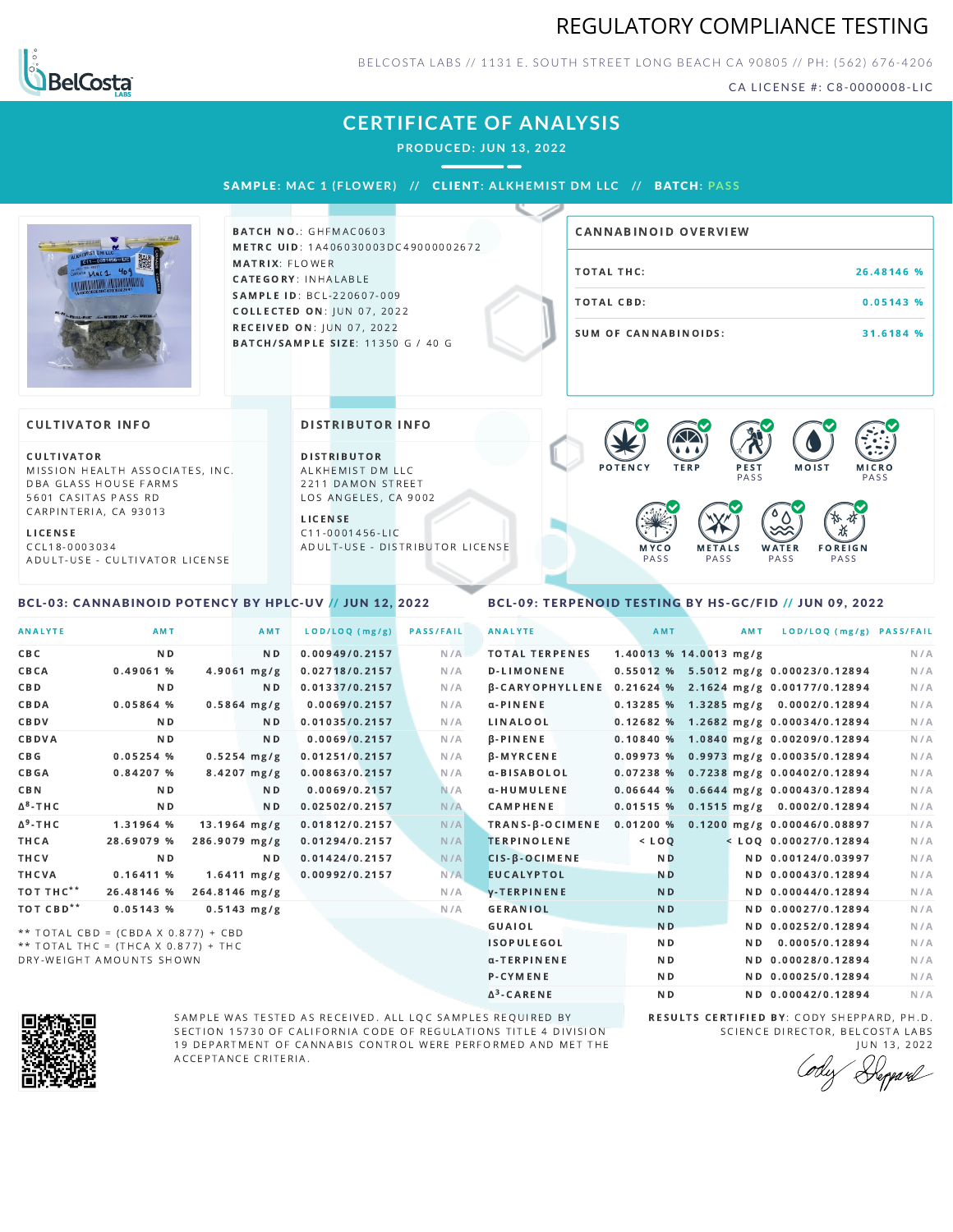## REGULATORY COMPLIANCE TESTING



BELCOSTA LABS // 1131 E. SOUTH STREET LONG BEACH CA 90805 // PH: (562) 676-4206

CA LICENSE #: C8-0000008-LIC

# **CERTIFICATE OF ANALYSIS**

**PRODUCED: JUN 13, 2022**

### SAMPL E **: MAC 1 ( F LOWER) //** CL I ENT**: A LKHEMI ST DM L LC //** BATCH**: PA S S**



BATCH NO.: GHFMAC0603 METRC UID: 1A406030003DC49000002672 MATRIX: FLOWER CATEGORY: INHALABLE SAMPLE ID: BCL-220607-009 **COLLECTED ON: JUN 07, 2022** RECEIVED ON: JUN 07, 2022 BATCH/SAMPLE SIZE: 11350 G / 40 G

| CANNABINOID OVERVIEW |            |
|----------------------|------------|
| TOTAL THC:           | 26.48146 % |
| TOTAL CBD:           | 0.05143%   |
| SUM OF CANNABINOIDS: | 31.6184 %  |

#### **CULTIVATOR INFO**

CULTIVATOR MISSION HEALTH ASSOCIATES, INC. DBA GLASS HOUSE FARMS 5601 CASITAS PASS RD CARPINTERIA, CA 93013

L I C E N S E

C C L 1 8 - 0 0 0 3 0 3 4 A D U L T - U S E - C U L T I V A T O R L I CENSE

<span id="page-0-0"></span>BCL-03: CANNABINOID POTENCY BY HPLC-UV // JUN 12, 2022

#### DISTRIBUTOR INFO

D I STRIBUTOR ALKHEMIST DM LLC 2211 DAMON STREET LOS ANGELES, CA 9002

L I C E N S E C 1 1 - 0 0 0 1 4 5 6 - L I C A D U L T - U S E - D I STRIBUTOR LICENSE



### <span id="page-0-1"></span>BCL-09: TERPENOID TESTING BY HS-GC/FID // JUN 09, 2022

| <b>ANALYTE</b>        | AMT                                 |                       | <b>AMT</b>     | LOD/LOQ (mg/g) | <b>PASS/FAIL</b> | <b>ANALYTE</b>         | AMT                      | AMT | LOD/LOQ (mg/g) PASS/FAIL                |     |
|-----------------------|-------------------------------------|-----------------------|----------------|----------------|------------------|------------------------|--------------------------|-----|-----------------------------------------|-----|
| CBC                   | N <sub>D</sub>                      |                       | N <sub>D</sub> | 0.00949/0.2157 | N/A              | <b>TOTAL TERPENES</b>  | $1.40013$ % 14.0013 mg/g |     |                                         | N/A |
| CBCA                  | 0.49061%                            | $4.9061$ mg/g         |                | 0.02718/0.2157 | N/A              | <b>D-LIMONENE</b>      |                          |     | 0.55012 % 5.5012 mg/g 0.00023/0.12894   | N/A |
| CBD                   | N <sub>D</sub>                      |                       | N <sub>D</sub> | 0.01337/0.2157 | N/A              | <b>B-CARYOPHYLLENE</b> |                          |     | 0.21624 % 2.1624 mg/g 0.00177/0.12894   | N/A |
| CBDA                  | 0.05864%                            | $0.5864$ mg/g         |                | 0.0069/0.2157  | N/A              | $\alpha$ -PINENE       |                          |     | 0.13285 % 1.3285 mg/g 0.0002/0.12894    | N/A |
| CBDV                  | ND.                                 |                       | ND.            | 0.01035/0.2157 | N/A              | LINALOOL               |                          |     | $0.12682$ % 1.2682 mg/g 0.00034/0.12894 | N/A |
| CBDVA                 | N <sub>D</sub>                      |                       | ND.            | 0.0069/0.2157  | N/A              | $\beta$ -PINENE        |                          |     | 0.10840 % 1.0840 mg/g 0.00209/0.12894   | N/A |
| C B G                 | 0.05254%                            | $0.5254$ mg/g         |                | 0.01251/0.2157 | N/A              | <b>B-MYRCENE</b>       |                          |     | 0.09973 % 0.9973 mg/g 0.00035/0.12894   | N/A |
| CBGA                  | 0.84207%                            | $8.4207$ mg/g         |                | 0.00863/0.2157 | N/A              | α-BISABOLOL            |                          |     | 0.07238 % 0.7238 mg/g 0.00402/0.12894   | N/A |
| <b>CBN</b>            | N <sub>D</sub>                      |                       | N <sub>D</sub> | 0.0069/0.2157  | N/A              | α-HUMULENE             |                          |     | $0.06644$ % 0.6644 mg/g 0.00043/0.12894 | N/A |
| $\Delta^8$ -THC       | N <sub>D</sub>                      |                       | ND.            | 0.02502/0.2157 | N/A              | <b>CAMPHENE</b>        |                          |     | $0.01515$ % 0.1515 mg/g 0.0002/0.12894  | N/A |
| $\Delta^9$ -THC       | 1.31964 %                           | $13.1964$ mg/g        |                | 0.01812/0.2157 | N/A              | TRANS-B-OCIMENE        | 0.01200%                 |     | 0.1200 mg/g 0.00046/0.08897             | N/A |
| THCA                  | 28.69079 %                          | 286.9079 mg/g         |                | 0.01294/0.2157 | N/A              | <b>TERPINOLENE</b>     | $<$ LOO                  |     | $<$ LOQ 0.00027/0.12894                 | N/A |
| THCV                  | N <sub>D</sub>                      |                       | N <sub>D</sub> | 0.01424/0.2157 | N/A              | $CIS-B-OCIMENE$        | N <sub>D</sub>           |     | ND 0.00124/0.03997                      | N/A |
| THCVA                 | 0.16411%                            | $1.6411 \text{ mg/g}$ |                | 0.00992/0.2157 | N/A              | <b>EUCALYPTOL</b>      | <b>ND</b>                |     | ND 0.00043/0.12894                      | N/A |
| тот тнс**             | 26.48146 %                          | 264.8146 mg/g         |                |                | N/A              | <b>V-TERPINENE</b>     | N <sub>D</sub>           |     | ND 0.00044/0.12894                      | N/A |
| TOT CBD <sup>**</sup> | 0.05143%                            | $0.5143$ mg/g         |                |                | N/A              | <b>GERANIOL</b>        | N <sub>D</sub>           |     | ND 0.00027/0.12894                      | N/A |
|                       | ** TOTAL CBD = (CBDA X 0.877) + CBD |                       |                |                |                  | GUAIOL                 | <b>ND</b>                |     | ND 0.00252/0.12894                      | N/A |
|                       | ** TOTAL THC = (THCA X 0 877) + THC |                       |                |                |                  | <b>ISOPULEGOL</b>      | N <sub>D</sub>           | ND. | 0.0005/0.12894                          | N/A |

Δ 3

\* \* T O T A L T H C = ( T H C A X 0 . 8 7 7 ) + T H C DRY-WEIGHT AMOUNTS SHOWN



SAMPLE WAS TESTED AS RECEIVED. ALL LQC SAMPLES REQUIRED BY SECTION 15730 OF CALIFORNIA CODE OF REGULATIONS TITLE 4 DIVISION 19 DEPARTMENT OF CANNABIS CONTROL WERE PERFORMED AND MET THE A C C E P T A N C E C R I T E R I A.

RESULTS CERTIFIED BY: CODY SHEPPARD, PH.D. SCIENCE DIRECTOR, BELCOSTA LABS

ND ND 0.00042/0.12894 N/A

α-TERPINENE **ND ND 0.00028/0.12894** N/A P-CYMENE ND ND ND 0.00025/0.12894 N/A

J U N 1 3 , 2 0 2 2 Depard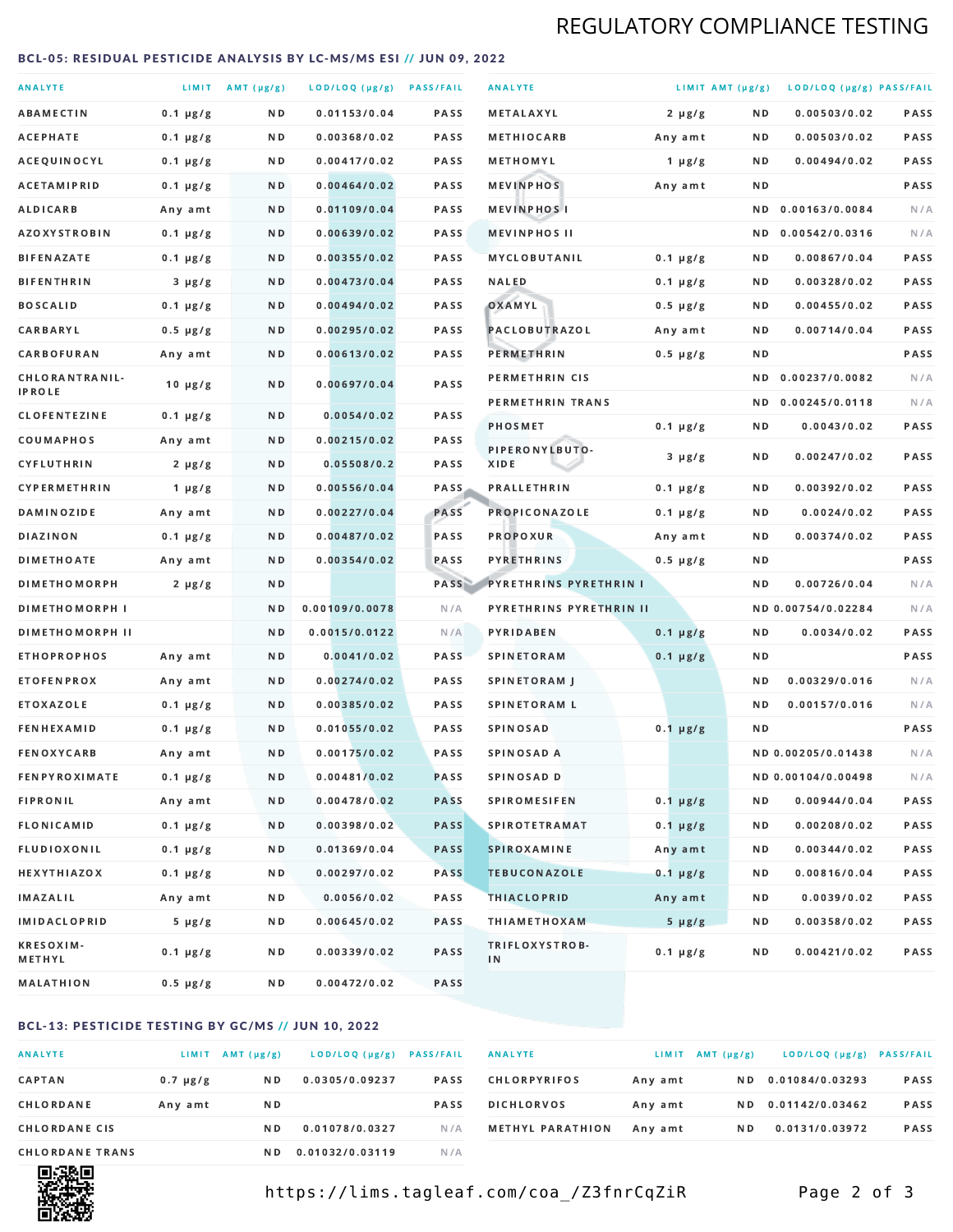# REGULATORY COMPLIANCE TESTING

### <span id="page-1-0"></span>BCL-05: RESIDUAL PESTICIDE ANALYSIS BY LC-MS/MS ESI // JUN 09, 2022

| <b>ANALYTE</b>                  |               | LIMIT AMT (µg/g) | LOD/LOQ (µg/g) PASS/FAIL |             | <b>ANALYTE</b>                | LIMIT AMT (µg/g) |     | LOD/LOQ (µg/g) PASS/FAIL |             |
|---------------------------------|---------------|------------------|--------------------------|-------------|-------------------------------|------------------|-----|--------------------------|-------------|
| <b>ABAMECTIN</b>                | $0.1 \mu g/g$ | ND.              | 0.01153/0.04             | <b>PASS</b> | METALAXYL                     | $2 \mu g/g$      | N D | 0.00503/0.02             | PASS        |
| ACEPHATE                        | $0.1 \mu g/g$ | N D              | 0.00368/0.02             | <b>PASS</b> | <b>METHIOCARB</b>             | Any amt          | N D | 0.00503/0.02             | <b>PASS</b> |
| ACEQUINOCYL                     | $0.1 \mu g/g$ | N D              | 0.00417/0.02             | PASS        | METHOMYL                      | 1 $\mu$ g/g      | N D | 0.00494/0.02             | PASS        |
| <b>ACETAMIPRID</b>              | $0.1 \mu g/g$ | ND.              | 0.00464/0.02             | <b>PASS</b> | <b>MEVINPHOS</b>              | Any amt          | N D |                          | PASS        |
| <b>ALDICARB</b>                 | Any amt       | N D              | 0.01109/0.04             | <b>PASS</b> | <b>MEVINPHOSI</b>             |                  | N D | 0.00163/0.0084           | N/A         |
| <b>AZOXYSTROBIN</b>             | $0.1 \mu g/g$ | N D              | 0.00639/0.02             | <b>PASS</b> | <b>MEVINPHOS II</b>           |                  | ND. | 0.00542/0.0316           | N/A         |
| <b>BIFENAZATE</b>               | $0.1 \mu g/g$ | N D              | 0.00355/0.02             | <b>PASS</b> | <b>MYCLOBUTANIL</b>           | $0.1 \mu g/g$    | N D | 0.00867/0.04             | PASS        |
| <b>BIFENTHRIN</b>               | $3 \mu g/g$   | N D              | 0.00473/0.04             | <b>PASS</b> | <b>NALED</b>                  | $0.1 \mu g/g$    | N D | 0.00328/0.02             | PASS        |
| <b>BOSCALID</b>                 | $0.1 \mu g/g$ | N D              | 0.00494/0.02             | PASS        | OXAMYL                        | $0.5 \mu g/g$    | N D | 0.00455/0.02             | <b>PASS</b> |
| CARBARYL                        | $0.5 \mu g/g$ | N D              | 0.00295/0.02             | PASS        | PACLOBUTRAZOL                 | Any amt          | N D | 0.00714/0.04             | PASS        |
| CARBOFURAN                      | Any amt       | N D              | 0.00613/0.02             | <b>PASS</b> | PERMETHRIN                    | $0.5 \mu g/g$    | N D |                          | PASS        |
| CHLORANTRANIL-<br><b>IPROLE</b> | $10 \mu g/g$  | N D              | 0.00697/0.04             | PASS        | PERMETHRIN CIS                |                  | N D | 0.00237/0.0082           | N/A         |
| <b>CLOFENTEZINE</b>             | $0.1 \mu g/g$ | ND               | 0.0054/0.02              | <b>PASS</b> | PERMETHRIN TRANS              |                  |     | ND 0.00245/0.0118        | N/A         |
| COUMAPHOS                       | Any amt       | N D              | 0.00215/0.02             | <b>PASS</b> | <b>PHOSMET</b>                | $0.1 \mu g/g$    | N D | 0.0043/0.02              | PASS        |
| CYFLUTHRIN                      | $2 \mu g/g$   | ND.              | 0.05508/0.2              | <b>PASS</b> | PIPERONYLBUTO-<br>XIDE        | $3 \mu g/g$      | N D | 0.00247/0.02             | PASS        |
| <b>CYPERMETHRIN</b>             | 1 $\mu$ g/g   | N D              | 0.00556/0.04             | <b>PASS</b> | <b>PRALLETHRIN</b>            | $0.1 \mu g/g$    | N D | 0.00392/0.02             | PASS        |
| <b>DAMINOZIDE</b>               | Any amt       | ND.              | 0.00227/0.04             | <b>PASS</b> | PROPICONAZOLE                 | $0.1 \mu g/g$    | N D | 0.0024/0.02              | PASS        |
| <b>DIAZINON</b>                 | $0.1 \mu g/g$ | N D              | 0.00487/0.02             | <b>PASS</b> | <b>PROPOXUR</b>               | Any amt          | N D | 0.00374/0.02             | PASS        |
| <b>DIMETHOATE</b>               | Any amt       | N D              | 0.00354/0.02             | PASS        | <b>PYRETHRINS</b>             | $0.5 \mu g/g$    | N D |                          | PASS        |
| <b>DIMETHOMORPH</b>             | $2 \mu g/g$   | N D              |                          | PASS        | <b>PYRETHRINS PYRETHRIN I</b> |                  | N D | 0.00726/0.04             | N/A         |
| <b>DIMETHOMORPH I</b>           |               | N D              | 0.00109/0.0078           | N/A         | PYRETHRINS PYRETHRIN II       |                  |     | ND 0.00754/0.02284       | N/A         |
| <b>DIMETHOMORPH II</b>          |               | ND               | 0.0015/0.0122            | N/A         | PYRIDABEN                     | $0.1 \mu g/g$    | N D | 0.0034/0.02              | PASS        |
| <b>ETHOPROPHOS</b>              | Any amt       | ND.              | 0.0041/0.02              | PASS        | <b>SPINETORAM</b>             | $0.1 \mu g/g$    | N D |                          | PASS        |
| <b>ETOFENPROX</b>               | Any amt       | N D              | 0.00274/0.02             | <b>PASS</b> | SPINETORAM J                  |                  | N D | 0.00329/0.016            | N/A         |
| <b>ETOXAZOLE</b>                | $0.1 \mu g/g$ | ND.              | 0.00385/0.02             | <b>PASS</b> | <b>SPINETORAM L</b>           |                  | N D | 0.00157/0.016            | N/A         |
| <b>FENHEXAMID</b>               | $0.1 \mu g/g$ | N D              | 0.01055/0.02             | PASS        | <b>SPINOSAD</b>               | $0.1 \mu g/g$    | N D |                          | PASS        |
| <b>FENOXYCARB</b>               | Any amt       | N D              | 0.00175/0.02             | <b>PASS</b> | <b>SPINOSAD A</b>             |                  |     | ND 0.00205/0.01438       | N/A         |
| <b>FENPYROXIMATE</b>            | $0.1 \mu g/g$ | N D              | 0.00481/0.02             | <b>PASS</b> | SPINOSAD D                    |                  |     | ND 0.00104/0.00498       | N/A         |
| <b>FIPRONIL</b>                 | Any amt       | N D              | 0.00478/0.02             | <b>PASS</b> | <b>SPIROMESIFEN</b>           | $0.1 \mu g/g$    | N D | 0.00944/0.04             | PASS        |
| <b>FLONICAMID</b>               | $0.1 \mu g/g$ | N D              | 0.00398/0.02             | <b>PASS</b> | <b>SPIROTETRAMAT</b>          | $0.1 \mu g/g$    | N D | 0.00208/0.02             | PASS        |
| FLUDIOXONIL                     | $0.1 \mu g/g$ | N D              | 0.01369/0.04             | <b>PASS</b> | SPIROXAMINE                   | Any amt          | N D | 0.00344/0.02             | PASS        |
| <b>HEXYTHIAZOX</b>              | $0.1 \mu g/g$ | N D              | 0.00297/0.02             | PASS        | <b>TEBUCONAZOLE</b>           | $0.1 \mu g/g$    | N D | 0.00816/0.04             | PASS        |
| IMAZALIL                        | Any amt       | N D              | 0.0056/0.02              | PASS        | <b>THIACLOPRID</b>            | Any amt          | N D | 0.0039/0.02              | PASS        |
| <b>IMIDACLOPRID</b>             | $5 \mu g/g$   | N D              | 0.00645/0.02             | PASS        | <b>THIAMETHOXAM</b>           | $5 \mu g/g$      | N D | 0.00358/0.02             | PASS        |
| <b>KRESOXIM-</b><br>METHYL      | $0.1 \mu g/g$ | N D              | 0.00339/0.02             | PASS        | TRIFLOXYSTROB-<br>IN          | $0.1 \mu g/g$    | N D | 0.00421/0.02             | PASS        |
| <b>MALATHION</b>                | 0.5 µg/g      | N D              | 0.00472/0.02             | PASS        |                               |                  |     |                          |             |

## BCL-13: PESTICIDE TESTING BY GC/MS // JUN 10, 2022

| <b>ANALYTE</b>         | LIMIT         | $AMT(\mu g/g)$ | LOD/LOQ (µg/g)  | <b>PASS/FAIL</b> |
|------------------------|---------------|----------------|-----------------|------------------|
| <b>CAPTAN</b>          | $0.7 \mu g/g$ | N D            | 0.0305/0.09237  | <b>PASS</b>      |
| CHLORDANE              | Any amt       | N D            |                 | <b>PASS</b>      |
| <b>CHLORDANE CIS</b>   |               | N D            | 0.01078/0.0327  | N/A              |
| <b>CHLORDANE TRANS</b> |               | N D            | 0.01032/0.03119 | N / A            |

| <b>ANALYTE</b>          | LIMIT   | $AMT(\mu g/g)$ | LOD/LOQ (µg/g)  | <b>PASS/FAIL</b> |
|-------------------------|---------|----------------|-----------------|------------------|
| <b>CHLORPYRIFOS</b>     | Any amt | N D            | 0.01084/0.03293 | <b>PASS</b>      |
| <b>DICHLORVOS</b>       | Any amt | N D            | 0.01142/0.03462 | <b>PASS</b>      |
| <b>METHYL PARATHION</b> | Any amt | N D            | 0.0131/0.03972  | <b>PASS</b>      |



https://lims.tagleaf.com/coa\_/Z3fnrCqZiR Page 2 of 3